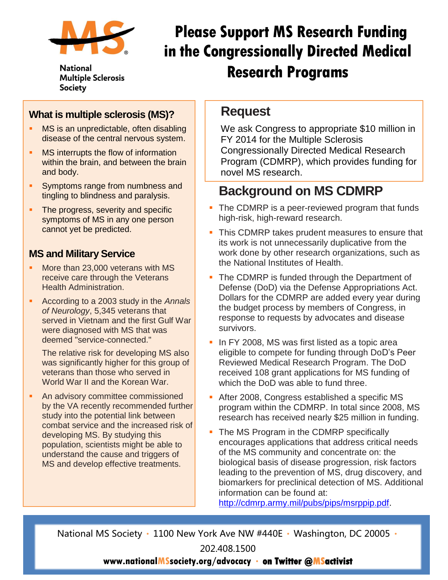

**National Multiple Sclerosis** Society

# **Please Support MS Research Funding in the Congressionally Directed Medical Research Programs**

#### **What is multiple sclerosis (MS)?**

- **MS** is an unpredictable, often disabling disease of the central nervous system.
- MS interrupts the flow of information within the brain, and between the brain and body.
- Symptoms range from numbness and tingling to blindness and paralysis.
- The progress, severity and specific symptoms of MS in any one person cannot yet be predicted.

## **MS and Military Service**

- More than 23,000 veterans with MS receive care through the Veterans Health Administration.
- According to a 2003 study in the *Annals of Neurology*, 5,345 veterans that served in Vietnam and the first Gulf War were diagnosed with MS that was deemed "service-connected."

The relative risk for developing MS also was significantly higher for this group of veterans than those who served in World War II and the Korean War.

 An advisory committee commissioned by the VA recently recommended further study into the potential link between combat service and the increased risk of developing MS. By studying this population, scientists might be able to understand the cause and triggers of MS and develop effective treatments.

## **Request**

We ask Congress to appropriate \$10 million in FY 2014 for the Multiple Sclerosis Congressionally Directed Medical Research Program (CDMRP), which provides funding for novel MS research.

## **Background on MS CDMRP**

- The CDMRP is a peer-reviewed program that funds high-risk, high-reward research.
- **This CDMRP takes prudent measures to ensure that** its work is not unnecessarily duplicative from the work done by other research organizations, such as the National Institutes of Health.
- The CDMRP is funded through the Department of Defense (DoD) via the Defense Appropriations Act. Dollars for the CDMRP are added every year during the budget process by members of Congress, in response to requests by advocates and disease survivors.
- In FY 2008, MS was first listed as a topic area eligible to compete for funding through DoD's Peer Reviewed Medical Research Program. The DoD received 108 grant applications for MS funding of which the DoD was able to fund three.
- **After 2008, Congress established a specific MS** program within the CDMRP. In total since 2008, MS research has received nearly \$25 million in funding.
- The MS Program in the CDMRP specifically encourages applications that address critical needs of the MS community and concentrate on: the biological basis of disease progression, risk factors leading to the prevention of MS, drug discovery, and biomarkers for preclinical detection of MS. Additional information can be found at:

[http://cdmrp.army.mil/pubs/pips/msrppip.pdf.](http://cdmrp.army.mil/pubs/pips/msrppip.pdf)

National MS Society · 1100 New York Ave NW #440E · Washington, DC 20005 ·

202.408.1500

### **www.nationalMSsociety.org/advocacy on Twitter @MSactivist**